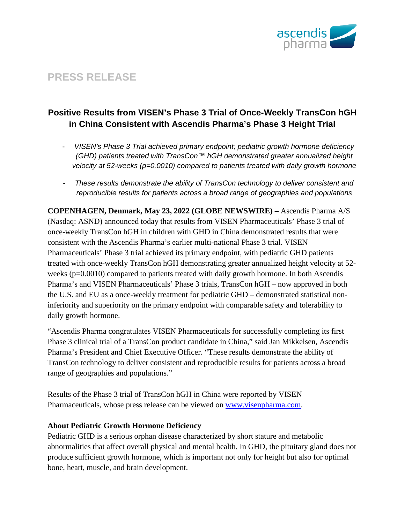

# **PRESS RELEASE**

## **Positive Results from VISEN's Phase 3 Trial of Once-Weekly TransCon hGH in China Consistent with Ascendis Pharma's Phase 3 Height Trial**

- *VISEN's Phase 3 Trial achieved primary endpoint; pediatric growth hormone deficiency (GHD) patients treated with TransCon™ hGH demonstrated greater annualized height velocity at 52-weeks (p=0.0010) compared to patients treated with daily growth hormone*
- *These results demonstrate the ability of TransCon technology to deliver consistent and reproducible results for patients across a broad range of geographies and populations*

**COPENHAGEN, Denmark, May 23, 2022 (GLOBE NEWSWIRE) –** Ascendis Pharma A/S (Nasdaq: ASND) announced today that results from VISEN Pharmaceuticals' Phase 3 trial of once-weekly TransCon hGH in children with GHD in China demonstrated results that were consistent with the Ascendis Pharma's earlier multi-national Phase 3 trial. VISEN Pharmaceuticals' Phase 3 trial achieved its primary endpoint, with pediatric GHD patients treated with once-weekly TransCon hGH demonstrating greater annualized height velocity at 52 weeks (p=0.0010) compared to patients treated with daily growth hormone. In both Ascendis Pharma's and VISEN Pharmaceuticals' Phase 3 trials, TransCon hGH – now approved in both the U.S. and EU as a once-weekly treatment for pediatric GHD – demonstrated statistical noninferiority and superiority on the primary endpoint with comparable safety and tolerability to daily growth hormone.

"Ascendis Pharma congratulates VISEN Pharmaceuticals for successfully completing its first Phase 3 clinical trial of a TransCon product candidate in China," said Jan Mikkelsen, Ascendis Pharma's President and Chief Executive Officer. "These results demonstrate the ability of TransCon technology to deliver consistent and reproducible results for patients across a broad range of geographies and populations."

Results of the Phase 3 trial of TransCon hGH in China were reported by VISEN Pharmaceuticals, whose press release can be viewed on [www.visenpharma.com.](http://www.visenpharma.com/)

#### **About Pediatric Growth Hormone Deficiency**

Pediatric GHD is a serious orphan disease characterized by short stature and metabolic abnormalities that affect overall physical and mental health. In GHD, the pituitary gland does not produce sufficient growth hormone, which is important not only for height but also for optimal bone, heart, muscle, and brain development.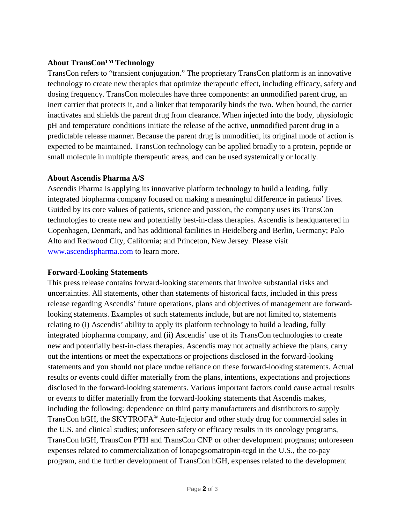### **About TransCon™ Technology**

TransCon refers to "transient conjugation." The proprietary TransCon platform is an innovative technology to create new therapies that optimize therapeutic effect, including efficacy, safety and dosing frequency. TransCon molecules have three components: an unmodified parent drug, an inert carrier that protects it, and a linker that temporarily binds the two. When bound, the carrier inactivates and shields the parent drug from clearance. When injected into the body, physiologic pH and temperature conditions initiate the release of the active, unmodified parent drug in a predictable release manner. Because the parent drug is unmodified, its original mode of action is expected to be maintained. TransCon technology can be applied broadly to a protein, peptide or small molecule in multiple therapeutic areas, and can be used systemically or locally.

#### **About Ascendis Pharma A/S**

Ascendis Pharma is applying its innovative platform technology to build a leading, fully integrated biopharma company focused on making a meaningful difference in patients' lives. Guided by its core values of patients, science and passion, the company uses its TransCon technologies to create new and potentially best-in-class therapies. Ascendis is headquartered in Copenhagen, Denmark, and has additional facilities in Heidelberg and Berlin, Germany; Palo Alto and Redwood City, California; and Princeton, New Jersey. Please visit [www.ascendispharma.com](http://www.ascendispharma.com/) to learn more.

#### **Forward-Looking Statements**

This press release contains forward-looking statements that involve substantial risks and uncertainties. All statements, other than statements of historical facts, included in this press release regarding Ascendis' future operations, plans and objectives of management are forwardlooking statements. Examples of such statements include, but are not limited to, statements relating to (i) Ascendis' ability to apply its platform technology to build a leading, fully integrated biopharma company, and (ii) Ascendis' use of its TransCon technologies to create new and potentially best-in-class therapies. Ascendis may not actually achieve the plans, carry out the intentions or meet the expectations or projections disclosed in the forward-looking statements and you should not place undue reliance on these forward-looking statements. Actual results or events could differ materially from the plans, intentions, expectations and projections disclosed in the forward-looking statements. Various important factors could cause actual results or events to differ materially from the forward-looking statements that Ascendis makes, including the following: dependence on third party manufacturers and distributors to supply TransCon hGH, the SKYTROFA® Auto-Injector and other study drug for commercial sales in the U.S. and clinical studies; unforeseen safety or efficacy results in its oncology programs, TransCon hGH, TransCon PTH and TransCon CNP or other development programs; unforeseen expenses related to commercialization of lonapegsomatropin-tcgd in the U.S., the co-pay program, and the further development of TransCon hGH, expenses related to the development